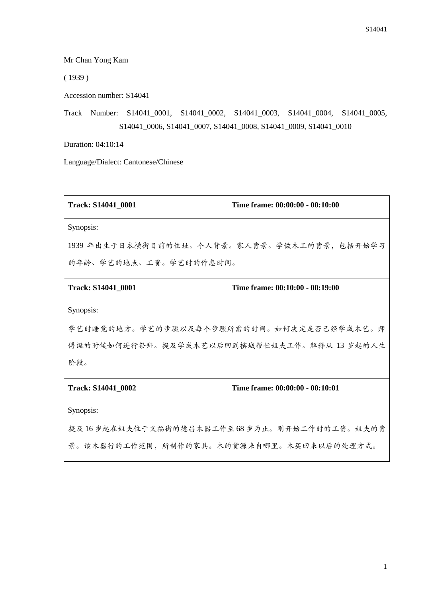Mr Chan Yong Kam

( 1939 )

Accession number: S14041

Track Number: S14041\_0001, S14041\_0002, S14041\_0003, S14041\_0004, S14041\_0005, S14041\_0006, S14041\_0007, S14041\_0008, S14041\_0009, S14041\_0010

Duration: 04:10:14

Language/Dialect: Cantonese/Chinese

| <b>Track: S14041 0001</b>                    | Time frame: 00:00:00 - 00:10:00 |  |
|----------------------------------------------|---------------------------------|--|
| Synopsis:                                    |                                 |  |
| 1939 年出生于日本横街目前的住址。个人背景。家人背景。学做木工的背景, 包括开始学习 |                                 |  |
| 的年龄、学艺的地点、工资。学艺时的作息时间。                       |                                 |  |
| <b>Track: S14041 0001</b>                    | Time frame: 00:10:00 - 00:19:00 |  |
| Synopsis:                                    |                                 |  |
| 学艺时睡觉的地方。学艺的步骤以及每个步骤所需的时间。如何决定是否已经学成木艺。师     |                                 |  |
| 傅诞的时候如何进行祭拜。提及学成木艺以后回到槟城帮忙姐夫工作。解释从 13 岁起的人生  |                                 |  |
| 阶段。                                          |                                 |  |
| Track: S14041 0002                           | Time frame: 00:00:00 - 00:10:01 |  |
| Synopsis:                                    |                                 |  |
| 提及16岁起在姐夫位于义福街的德昌木器工作至68岁为止。刚开始工作时的工资。姐夫的背   |                                 |  |
| 景。该木器行的工作范围,所制作的家具。木的货源来自哪里。木买回来以后的处理方式。     |                                 |  |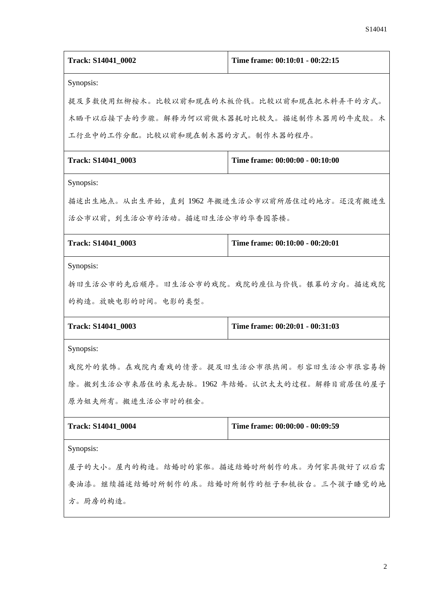| Track: S14041 0002                         | Time frame: 00:10:01 - 00:22:15             |  |
|--------------------------------------------|---------------------------------------------|--|
| Synopsis:                                  |                                             |  |
| 提及多数使用红柳桉木。比较以前和现在的木板价钱。比较以前和现在把木料弄干的方式。   |                                             |  |
| 木晒干以后接下去的步骤。解释为何以前做木器耗时比较久。描述制作木器用的牛皮胶。木   |                                             |  |
| 工行业中的工作分配。比较以前和现在制木器的方式。制作木器的程序。           |                                             |  |
| Track: S14041_0003                         | Time frame: 00:00:00 - 00:10:00             |  |
| Synopsis:                                  |                                             |  |
| 描述出生地点。从出生开始,直到1962年搬进生活公市以前所居住过的地方。还没有搬进生 |                                             |  |
| 活公市以前,到生活公市的活动。描述旧生活公市的华香园茶楼。              |                                             |  |
| Track: S14041_0003                         | Time frame: 00:10:00 - 00:20:01             |  |
| Synopsis:                                  |                                             |  |
| 拆旧生活公市的先后顺序。旧生活公市的戏院。戏院的座位与价钱。银幕的方向。描述戏院   |                                             |  |
| 的构造。放映电影的时间。电影的类型。                         |                                             |  |
| Track: S14041_0003                         | Time frame: 00:20:01 - 00:31:03             |  |
| Synopsis:                                  |                                             |  |
| 戏院外的装饰。在戏院内看戏的情景。提及旧生活公市很热闹。形容旧生活公市很容易拆    |                                             |  |
|                                            | 除。搬到生活公市来居住的来龙去脉。1962 年结婚。认识太太的过程。解释目前居住的屋子 |  |
| 原为姐夫所有。搬进生活公市时的租金。                         |                                             |  |
| Track: S14041_0004                         | Time frame: 00:00:00 - 00:09:59             |  |
| Synopsis:                                  |                                             |  |
| 屋子的大小。屋内的构造。结婚时的家俬。描述结婚时所制作的床。为何家具做好了以后需   |                                             |  |
| 要油漆。继续描述结婚时所制作的床。结婚时所制作的柜子和梳妆台。三个孩子睡觉的地    |                                             |  |
| 方。厨房的构造。                                   |                                             |  |
|                                            |                                             |  |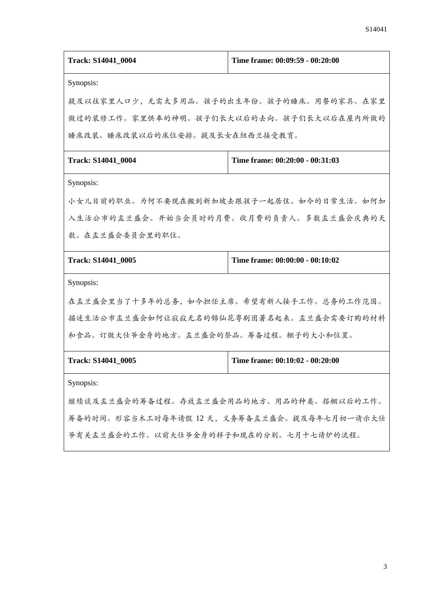| Track: S14041_0004                           | Time frame: 00:09:59 - 00:20:00 |  |
|----------------------------------------------|---------------------------------|--|
| Synopsis:                                    |                                 |  |
| 提及以往家里人口少,无需太多用品。孩子的出生年份。孩子的睡床。用餐的家具。在家里     |                                 |  |
| 做过的装修工作。家里供奉的神明。孩子们长大以后的去向。孩子们长大以后在屋内所做的     |                                 |  |
| 睡床改装。睡床改装以后的床位安排。提及长女在纽西兰接受教育。               |                                 |  |
| Track: S14041_0004                           | Time frame: 00:20:00 - 00:31:03 |  |
| Synopsis:                                    |                                 |  |
| 小女儿目前的职业。为何不要现在搬到新加坡去跟孩子一起居住。如今的日常生活。如何加     |                                 |  |
| 入生活公市的盂兰盛会。开始当会员时的月费。收月费的负责人。多数盂兰盛会庆典的天      |                                 |  |
| 数。在盂兰盛会委员会里的职位。                              |                                 |  |
| Track: S14041_0005                           | Time frame: 00:00:00 - 00:10:02 |  |
| Synopsis:                                    |                                 |  |
| 在盂兰盛会里当了十多年的总务,如今担任主席。希望有新人接手工作。总务的工作范围。     |                                 |  |
| 描述生活公市盂兰盛会如何让寂寂无名的锦仙花粤剧团著名起来。盂兰盛会需要订购的材料     |                                 |  |
| 和食品。订做大仕爷金身的地方。盂兰盛会的祭品。筹备过程。棚子的大小和位置。        |                                 |  |
| Track: S14041_0005                           | Time frame: 00:10:02 - 00:20:00 |  |
| Synopsis:                                    |                                 |  |
| 继续谈及盂兰盛会的筹备过程。存放盂兰盛会用品的地方。用品的种类。搭棚以后的工作。     |                                 |  |
| 筹备的时间。形容当木工时每年请假 12 天, 义务筹备盂兰盛会。提及每年七月初一请示大仕 |                                 |  |
| 爷有关盂兰盛会的工作。以前大仕爷金身的样子和现在的分别。七月十七请炉的流程。       |                                 |  |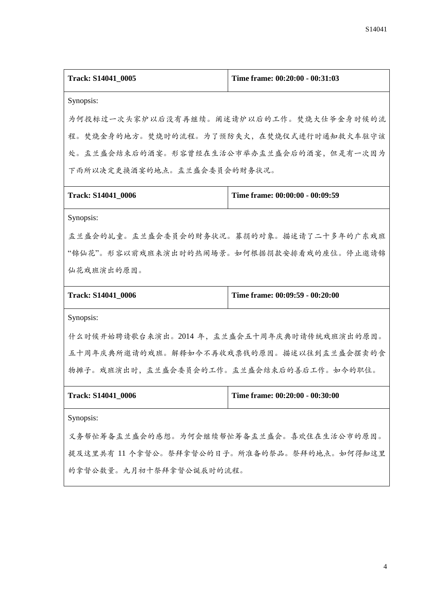| Track: S14041_0005                          | Time frame: 00:20:00 - 00:31:03 |  |
|---------------------------------------------|---------------------------------|--|
| Synopsis:                                   |                                 |  |
| 为何投标过一次头家炉以后没有再继续。阐述请炉以后的工作。焚烧大仕爷金身时候的流     |                                 |  |
| 程。焚烧金身的地方。焚烧时的流程。为了预防失火,在焚烧仪式进行时通知救火车驻守该    |                                 |  |
| 处。盂兰盛会结束后的酒宴。形容曾经在生活公市举办盂兰盛会后的酒宴,但是有一次因为    |                                 |  |
| 下雨所以决定更换酒宴的地点。盂兰盛会委员会的财务状况。                 |                                 |  |
| Track: S14041_0006                          | Time frame: 00:00:00 - 00:09:59 |  |
| Synopsis:                                   |                                 |  |
| 盂兰盛会的乩童。盂兰盛会委员会的财务状况。募捐的对象。描述请了二十多年的广东戏班    |                                 |  |
| "锦仙花"。形容以前戏班来演出时的热闹场景。如何根据捐款安排看戏的座位。停止邀请锦   |                                 |  |
| 仙花戏班演出的原因。                                  |                                 |  |
| Track: S14041_0006                          | Time frame: 00:09:59 - 00:20:00 |  |
| Synopsis:                                   |                                 |  |
| 什么时候开始聘请歌台来演出。2014年, 孟兰盛会五十周年庆典时请传统戏班演出的原因。 |                                 |  |
| 五十周年庆典所邀请的戏班。解释如今不再收戏票钱的原因。描述以往到盂兰盛会摆卖的食    |                                 |  |
| 物摊子。戏班演出时,盂兰盛会委员会的工作。盂兰盛会结束后的善后工作。如今的职位。    |                                 |  |
| Track: S14041_0006                          | Time frame: 00:20:00 - 00:30:00 |  |
| Synopsis:                                   |                                 |  |
| 义务帮忙筹备盂兰盛会的感想。为何会继续帮忙筹备盂兰盛会。喜欢住在生活公市的原因。    |                                 |  |
| 提及这里共有 11 个拿督公。祭拜拿督公的日子。所准备的祭品。祭拜的地点。如何得知这里 |                                 |  |
| 的拿督公数量。九月初十祭拜拿督公诞辰时的流程。                     |                                 |  |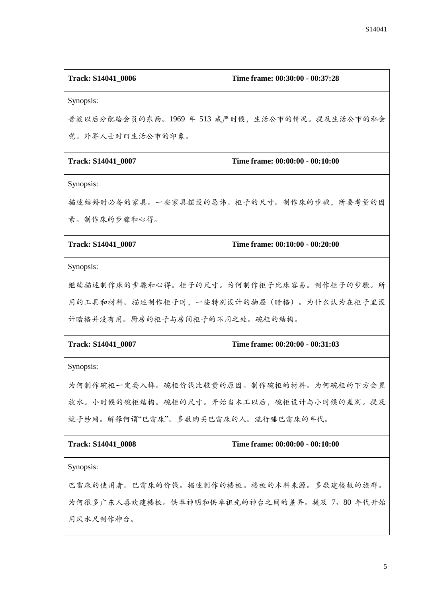| Track: S14041_0006                             | Time frame: 00:30:00 - 00:37:28 |  |
|------------------------------------------------|---------------------------------|--|
| Synopsis:                                      |                                 |  |
| 普渡以后分配给会员的东西。1969年 513 戒严时候, 生活公市的情况。提及生活公市的私会 |                                 |  |
| 党。外界人士对旧生活公市的印象。                               |                                 |  |
| Track: S14041_0007                             | Time frame: 00:00:00 - 00:10:00 |  |
| Synopsis:                                      |                                 |  |
| 描述结婚时必备的家具。一些家具摆设的忌讳。柜子的尺寸。制作床的步骤,所要考量的因       |                                 |  |
| 素。制作床的步骤和心得。                                   |                                 |  |
| Track: S14041 0007                             | Time frame: 00:10:00 - 00:20:00 |  |
| Synopsis:                                      |                                 |  |
| 继续描述制作床的步骤和心得。柜子的尺寸。为何制作柜子比床容易。制作柜子的步骤。所       |                                 |  |
| 用的工具和材料。描述制作柜子时,一些特别设计的抽屉(暗格)。为什么认为在柜子里设       |                                 |  |
| 计暗格并没有用。厨房的柜子与房间柜子的不同之处。碗柜的结构。                 |                                 |  |
| Track: S14041_0007                             | Time frame: 00:20:00 - 00:31:03 |  |
| Synopsis:                                      |                                 |  |
| 为何制作碗柜一定要入榫。碗柜价钱比较贵的原因。制作碗柜的材料。为何碗柜的下方会置       |                                 |  |
| 放水。小时候的碗柜结构。碗柜的尺寸。开始当木工以后,碗柜设计与小时候的差别。提及       |                                 |  |
| 蚊子纱网。解释何谓"巴雷床"。多数购买巴雷床的人。流行睡巴雷床的年代。            |                                 |  |
| Track: S14041_0008                             | Time frame: 00:00:00 - 00:10:00 |  |
| Synopsis:                                      |                                 |  |
| 巴雷床的使用者。巴雷床的价钱。描述制作的楼板。楼板的木料来源。多数建楼板的族群。       |                                 |  |
| 为何很多广东人喜欢建楼板。供奉神明和供奉祖先的神台之间的差异。提及 7、80 年代开始    |                                 |  |
| 用风水尺制作神台。                                      |                                 |  |
|                                                |                                 |  |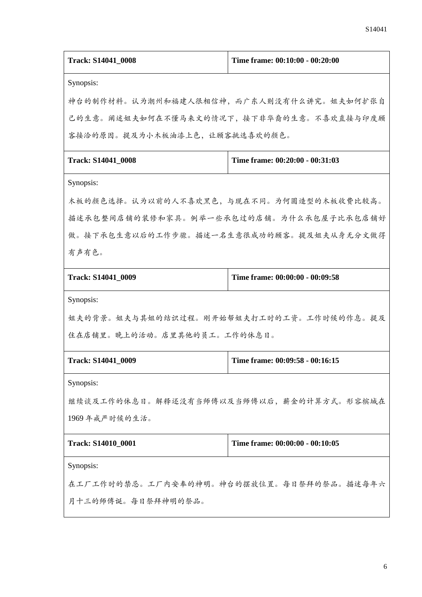| Track: S14041_0008                       | Time frame: 00:10:00 - 00:20:00          |  |
|------------------------------------------|------------------------------------------|--|
| Synopsis:                                |                                          |  |
| 神台的制作材料。认为潮州和福建人很相信神,而广东人则没有什么讲究。姐夫如何扩张自 |                                          |  |
|                                          | 己的生意。阐述姐夫如何在不懂马来文的情况下,接下非华裔的生意。不喜欢直接与印度顾 |  |
| 客接洽的原因。提及为小木板油漆上色,让顾客挑选喜欢的颜色。            |                                          |  |
| Track: S14041_0008                       | Time frame: 00:20:00 - 00:31:03          |  |
| Synopsis:                                |                                          |  |
| 木板的颜色选择。认为以前的人不喜欢黑色,与现在不同。为何圆造型的木板收费比较高。 |                                          |  |
| 描述承包整间店铺的装修和家具。例举一些承包过的店铺。为什么承包屋子比承包店铺好  |                                          |  |
| 做。接下承包生意以后的工作步骤。描述一名生意很成功的顾客。提及姐夫从身无分文做得 |                                          |  |
| 有声有色。                                    |                                          |  |
| Track: S14041_0009                       | Time frame: 00:00:00 - 00:09:58          |  |
| Synopsis:                                |                                          |  |
| 姐夫的背景。姐夫与其姐的结识过程。刚开始帮姐夫打工时的工资。工作时候的作息。提及 |                                          |  |
| 住在店铺里。晚上的活动。店里其他的员工。工作的休息日。              |                                          |  |
| Track: S14041_0009                       | Time frame: 00:09:58 - 00:16:15          |  |
| Synopsis:                                |                                          |  |
| 继续谈及工作的休息日。解释还没有当师傅以及当师傅以后,薪金的计算方式。形容槟城在 |                                          |  |
| 1969年戒严时候的生活。                            |                                          |  |
| Track: S14010_0001                       | Time frame: 00:00:00 - 00:10:05          |  |
| Synopsis:                                |                                          |  |
| 在工厂工作时的禁忌。工厂内安奉的神明。神台的摆放位置。每日祭拜的祭品。描述每年六 |                                          |  |
| 月十三的师傅诞。每日祭拜神明的祭品。                       |                                          |  |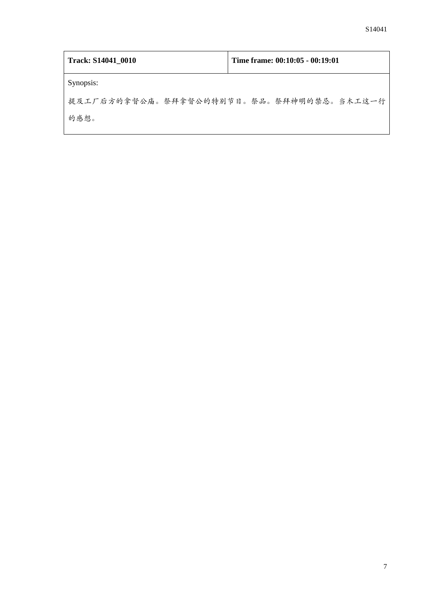| Track: S14041_0010                       | Time frame: 00:10:05 - 00:19:01 |
|------------------------------------------|---------------------------------|
| Synopsis:                                |                                 |
| 提及工厂后方的拿督公庙。祭拜拿督公的特别节日。祭品。祭拜神明的禁忌。当木工这一行 |                                 |
| 的感想。                                     |                                 |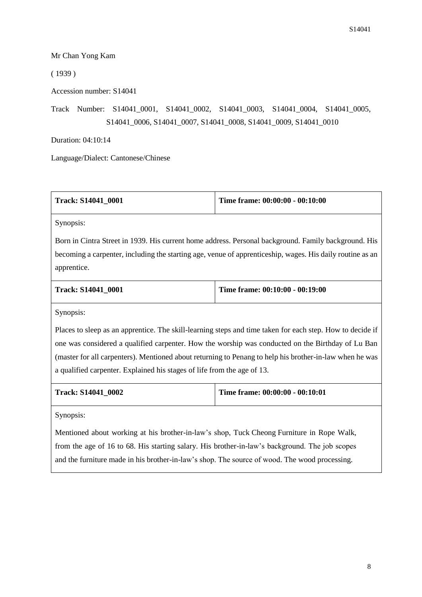## Mr Chan Yong Kam

( 1939 )

Accession number: S14041

Track Number: S14041\_0001, S14041\_0002, S14041\_0003, S14041\_0004, S14041\_0005, S14041\_0006, S14041\_0007, S14041\_0008, S14041\_0009, S14041\_0010

Duration: 04:10:14

Language/Dialect: Cantonese/Chinese

| Track: S14041 0001 | Time frame: $00:00:00 - 00:10:00$ |
|--------------------|-----------------------------------|
|--------------------|-----------------------------------|

Synopsis:

Born in Cintra Street in 1939. His current home address. Personal background. Family background. His becoming a carpenter, including the starting age, venue of apprenticeship, wages. His daily routine as an apprentice.

| <b>Track: S14041 0001</b> | Time frame: $00:10:00 - 00:19:00$ |
|---------------------------|-----------------------------------|
|                           |                                   |

Synopsis:

Places to sleep as an apprentice. The skill-learning steps and time taken for each step. How to decide if one was considered a qualified carpenter. How the worship was conducted on the Birthday of Lu Ban (master for all carpenters). Mentioned about returning to Penang to help his brother-in-law when he was a qualified carpenter. Explained his stages of life from the age of 13.

| <b>Track: S14041 0002</b> | Time frame: 00:00:00 - 00:10:01 |
|---------------------------|---------------------------------|
|---------------------------|---------------------------------|

Synopsis:

Mentioned about working at his brother-in-law's shop, Tuck Cheong Furniture in Rope Walk, from the age of 16 to 68. His starting salary. His brother-in-law's background. The job scopes and the furniture made in his brother-in-law's shop. The source of wood. The wood processing.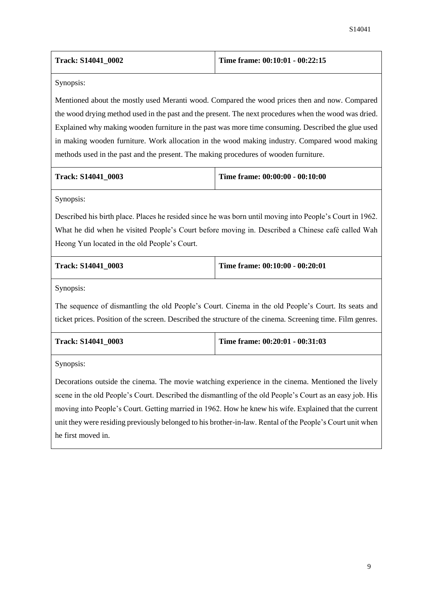| <b>Track: S14041 0002</b> | Time frame: $00:10:01 - 00:22:15$ |
|---------------------------|-----------------------------------|
|---------------------------|-----------------------------------|

Mentioned about the mostly used Meranti wood. Compared the wood prices then and now. Compared the wood drying method used in the past and the present. The next procedures when the wood was dried. Explained why making wooden furniture in the past was more time consuming. Described the glue used in making wooden furniture. Work allocation in the wood making industry. Compared wood making methods used in the past and the present. The making procedures of wooden furniture.

| <b>Track: S14041 0003</b> | Time frame: $00:00:00 - 00:10:00$ |
|---------------------------|-----------------------------------|
|---------------------------|-----------------------------------|

Synopsis:

Described his birth place. Places he resided since he was born until moving into People's Court in 1962. What he did when he visited People's Court before moving in. Described a Chinese café called Wah Heong Yun located in the old People's Court.

| <b>Track: S14041 0003</b> | Time frame: 00:10:00 - 00:20:01 |
|---------------------------|---------------------------------|
|                           |                                 |

Synopsis:

The sequence of dismantling the old People's Court. Cinema in the old People's Court. Its seats and ticket prices. Position of the screen. Described the structure of the cinema. Screening time. Film genres.

| <b>Track: S14041 0003</b> | Time frame: $00:20:01 - 00:31:03$ |
|---------------------------|-----------------------------------|
|                           |                                   |

Synopsis:

Decorations outside the cinema. The movie watching experience in the cinema. Mentioned the lively scene in the old People's Court. Described the dismantling of the old People's Court as an easy job. His moving into People's Court. Getting married in 1962. How he knew his wife. Explained that the current unit they were residing previously belonged to his brother-in-law. Rental of the People's Court unit when he first moved in.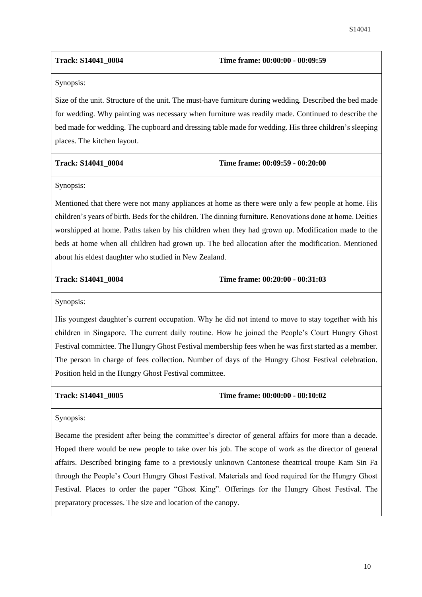| <b>Track: S14041 0004</b> | Time frame: 00:00:00 - 00:09:59 |
|---------------------------|---------------------------------|
|---------------------------|---------------------------------|

Size of the unit. Structure of the unit. The must-have furniture during wedding. Described the bed made for wedding. Why painting was necessary when furniture was readily made. Continued to describe the bed made for wedding. The cupboard and dressing table made for wedding. His three children's sleeping places. The kitchen layout.

| <b>Track: S14041 0004</b> | Time frame: 00:09:59 - 00:20:00 |
|---------------------------|---------------------------------|
|                           |                                 |

Synopsis:

Mentioned that there were not many appliances at home as there were only a few people at home. His children's years of birth. Beds for the children. The dinning furniture. Renovations done at home. Deities worshipped at home. Paths taken by his children when they had grown up. Modification made to the beds at home when all children had grown up. The bed allocation after the modification. Mentioned about his eldest daughter who studied in New Zealand.

|  |  | <b>Track: S14041 0004</b> |  |
|--|--|---------------------------|--|
|--|--|---------------------------|--|

**Track: S14041\_0004 Time frame: 00:20:00 - 00:31:03**

Synopsis:

His youngest daughter's current occupation. Why he did not intend to move to stay together with his children in Singapore. The current daily routine. How he joined the People's Court Hungry Ghost Festival committee. The Hungry Ghost Festival membership fees when he was first started as a member. The person in charge of fees collection. Number of days of the Hungry Ghost Festival celebration. Position held in the Hungry Ghost Festival committee.

**Track: S14041\_0005 Time frame: 00:00:00 - 00:10:02**

Synopsis:

Became the president after being the committee's director of general affairs for more than a decade. Hoped there would be new people to take over his job. The scope of work as the director of general affairs. Described bringing fame to a previously unknown Cantonese theatrical troupe Kam Sin Fa through the People's Court Hungry Ghost Festival. Materials and food required for the Hungry Ghost Festival. Places to order the paper "Ghost King". Offerings for the Hungry Ghost Festival. The preparatory processes. The size and location of the canopy.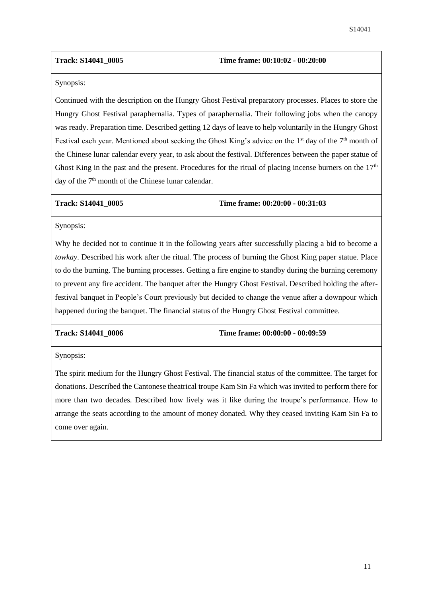Continued with the description on the Hungry Ghost Festival preparatory processes. Places to store the Hungry Ghost Festival paraphernalia. Types of paraphernalia. Their following jobs when the canopy was ready. Preparation time. Described getting 12 days of leave to help voluntarily in the Hungry Ghost Festival each year. Mentioned about seeking the Ghost King's advice on the 1<sup>st</sup> day of the 7<sup>th</sup> month of the Chinese lunar calendar every year, to ask about the festival. Differences between the paper statue of Ghost King in the past and the present. Procedures for the ritual of placing incense burners on the  $17<sup>th</sup>$ day of the 7<sup>th</sup> month of the Chinese lunar calendar.

**Track: S14041\_0005 Time frame: 00:20:00 - 00:31:03**

Synopsis:

Why he decided not to continue it in the following years after successfully placing a bid to become a *towkay*. Described his work after the ritual. The process of burning the Ghost King paper statue. Place to do the burning. The burning processes. Getting a fire engine to standby during the burning ceremony to prevent any fire accident. The banquet after the Hungry Ghost Festival. Described holding the afterfestival banquet in People's Court previously but decided to change the venue after a downpour which happened during the banquet. The financial status of the Hungry Ghost Festival committee.

| <b>Track: S14041 0006</b> | Time frame: $00:00:00 - 00:09:59$ |
|---------------------------|-----------------------------------|
|                           |                                   |

Synopsis:

The spirit medium for the Hungry Ghost Festival. The financial status of the committee. The target for donations. Described the Cantonese theatrical troupe Kam Sin Fa which was invited to perform there for more than two decades. Described how lively was it like during the troupe's performance. How to arrange the seats according to the amount of money donated. Why they ceased inviting Kam Sin Fa to come over again.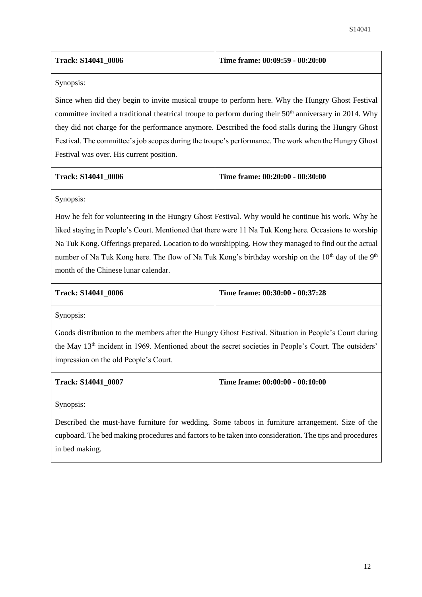| <b>Track: S14041 0006</b> | Time frame: 00:09:59 - 00:20:00 |
|---------------------------|---------------------------------|
|---------------------------|---------------------------------|

Since when did they begin to invite musical troupe to perform here. Why the Hungry Ghost Festival committee invited a traditional theatrical troupe to perform during their 50<sup>th</sup> anniversary in 2014. Why they did not charge for the performance anymore. Described the food stalls during the Hungry Ghost Festival. The committee's job scopes during the troupe's performance. The work when the Hungry Ghost Festival was over. His current position.

| <b>Track: S14041 0006</b> | Time frame: $00:20:00 - 00:30:00$ |
|---------------------------|-----------------------------------|
|---------------------------|-----------------------------------|

Synopsis:

How he felt for volunteering in the Hungry Ghost Festival. Why would he continue his work. Why he liked staying in People's Court. Mentioned that there were 11 Na Tuk Kong here. Occasions to worship Na Tuk Kong. Offerings prepared. Location to do worshipping. How they managed to find out the actual number of Na Tuk Kong here. The flow of Na Tuk Kong's birthday worship on the  $10<sup>th</sup>$  day of the  $9<sup>th</sup>$ month of the Chinese lunar calendar.

**Track: S14041\_0006 Time frame: 00:30:00 - 00:37:28**

Synopsis:

Goods distribution to the members after the Hungry Ghost Festival. Situation in People's Court during the May 13th incident in 1969. Mentioned about the secret societies in People's Court. The outsiders' impression on the old People's Court.

|  | <b>Track: S14041 0007</b> |  |
|--|---------------------------|--|
|--|---------------------------|--|

**Track: S14041\_0007 Time frame: 00:00:00 - 00:10:00**

Synopsis:

Described the must-have furniture for wedding. Some taboos in furniture arrangement. Size of the cupboard. The bed making procedures and factors to be taken into consideration. The tips and procedures in bed making.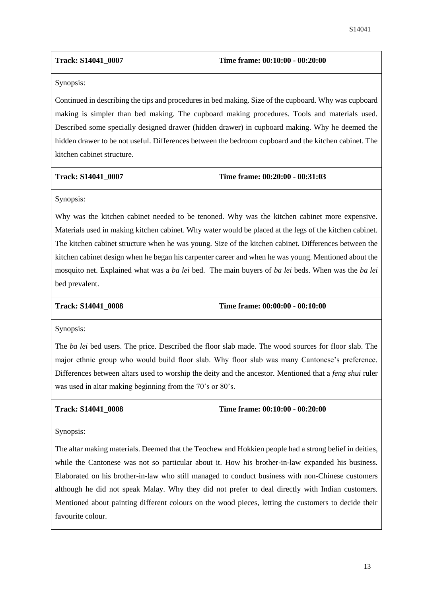| <b>Track: S14041 0007</b> | Time frame: $00:10:00 - 00:20:00$ |
|---------------------------|-----------------------------------|
|---------------------------|-----------------------------------|

Continued in describing the tips and procedures in bed making. Size of the cupboard. Why was cupboard making is simpler than bed making. The cupboard making procedures. Tools and materials used. Described some specially designed drawer (hidden drawer) in cupboard making. Why he deemed the hidden drawer to be not useful. Differences between the bedroom cupboard and the kitchen cabinet. The kitchen cabinet structure.

| Track: S14041 0007 |  |
|--------------------|--|
|--------------------|--|

**Track: S14041\_0007 Time frame: 00:20:00 - 00:31:03**

Synopsis:

Why was the kitchen cabinet needed to be tenoned. Why was the kitchen cabinet more expensive. Materials used in making kitchen cabinet. Why water would be placed at the legs of the kitchen cabinet. The kitchen cabinet structure when he was young. Size of the kitchen cabinet. Differences between the kitchen cabinet design when he began his carpenter career and when he was young. Mentioned about the mosquito net. Explained what was a *ba lei* bed. The main buyers of *ba lei* beds. When was the *ba lei* bed prevalent.

|  | Track: S14041 0008 |  |
|--|--------------------|--|
|--|--------------------|--|

**Time frame: 00:00:00 - 00:10:00** 

Synopsis:

The *ba lei* bed users. The price. Described the floor slab made. The wood sources for floor slab. The major ethnic group who would build floor slab. Why floor slab was many Cantonese's preference. Differences between altars used to worship the deity and the ancestor. Mentioned that a *feng shui* ruler was used in altar making beginning from the 70's or 80's.

| <b>Track: S14041 0008</b> | Time frame: $00:10:00 - 00:20:00$ |
|---------------------------|-----------------------------------|
|---------------------------|-----------------------------------|

Synopsis:

The altar making materials. Deemed that the Teochew and Hokkien people had a strong belief in deities, while the Cantonese was not so particular about it. How his brother-in-law expanded his business. Elaborated on his brother-in-law who still managed to conduct business with non-Chinese customers although he did not speak Malay. Why they did not prefer to deal directly with Indian customers. Mentioned about painting different colours on the wood pieces, letting the customers to decide their favourite colour.